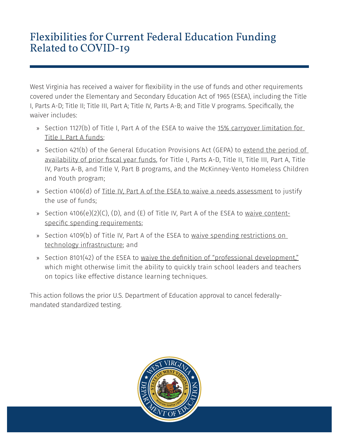## Flexibilities for Current Federal Education Funding Related to COVID-19

West Virginia has received a waiver for flexibility in the use of funds and other requirements covered under the Elementary and Secondary Education Act of 1965 (ESEA), including the Title I, Parts A-D; Title II; Title III, Part A; Title IV, Parts A-B; and Title V programs. Specifically, the waiver includes:

- » Section 1127(b) of Title I, Part A of the ESEA to waive the 15% carryover limitation for Title I, Part A funds;
- » Section 421(b) of the General Education Provisions Act (GEPA) to extend the period of availability of prior fiscal year funds, for Title I, Parts A-D, Title II, Title III, Part A, Title IV, Parts A-B, and Title V, Part B programs, and the McKinney-Vento Homeless Children and Youth program;
- » Section 4106(d) of Title IV, Part A of the ESEA to waive a needs assessment to justify the use of funds;
- » Section 4106(e)(2)(C), (D), and (E) of Title IV, Part A of the ESEA to waive contentspecific spending requirements;
- » Section 4109(b) of Title IV, Part A of the ESEA to waive spending restrictions on technology infrastructure; and
- » Section 8101(42) of the ESEA to waive the definition of "professional development," which might otherwise limit the ability to quickly train school leaders and teachers on topics like effective distance learning techniques.

This action follows the prior U.S. Department of Education approval to cancel federallymandated standardized testing.